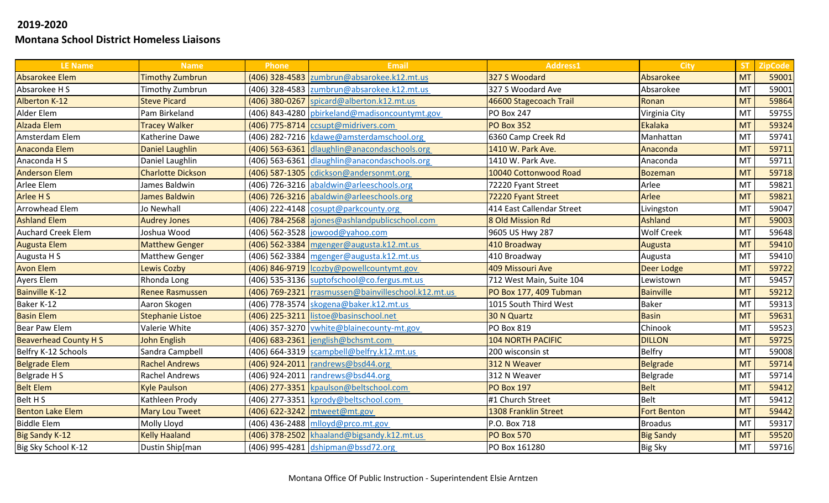| <b>LE Name</b>              | <b>Name</b>              | Phone | <b>Email</b>                                        | <b>Address1</b>           | <b>City</b>        | <b>ST</b> | <b>ZipCode</b> |
|-----------------------------|--------------------------|-------|-----------------------------------------------------|---------------------------|--------------------|-----------|----------------|
| Absarokee Elem              | <b>Timothy Zumbrun</b>   |       | (406) 328-4583 zumbrun@absarokee.k12.mt.us          | 327 S Woodard             | Absarokee          | <b>MT</b> | 59001          |
| Absarokee H S               | Timothy Zumbrun          |       | (406) 328-4583 zumbrun@absarokee.k12.mt.us          | 327 S Woodard Ave         | Absarokee          | <b>MT</b> | 59001          |
| <b>Alberton K-12</b>        | <b>Steve Picard</b>      |       | (406) 380-0267 spicard@alberton.k12.mt.us           | 46600 Stagecoach Trail    | Ronan              | <b>MT</b> | 59864          |
| Alder Elem                  | Pam Birkeland            |       | (406) 843-4280 pbirkeland@madisoncountymt.gov       | <b>PO Box 247</b>         | Virginia City      | <b>MT</b> | 59755          |
| <b>Alzada Elem</b>          | <b>Tracey Walker</b>     |       | (406) 775-8714   ccsupt@midrivers.com               | <b>PO Box 352</b>         | Ekalaka            | <b>MT</b> | 59324          |
| Amsterdam Elem              | Katherine Dawe           |       | (406) 282-7216 kdawe@amsterdamschool.org            | 6360 Camp Creek Rd        | Manhattan          | <b>MT</b> | 59741          |
| Anaconda Elem               | <b>Daniel Laughlin</b>   |       | (406) 563-6361 dlaughlin@anacondaschools.org        | 1410 W. Park Ave.         | Anaconda           | <b>MT</b> | 59711          |
| Anaconda H S                | Daniel Laughlin          |       | (406) 563-6361 dlaughlin@anacondaschools.org        | 1410 W. Park Ave.         | Anaconda           | <b>MT</b> | 59711          |
| <b>Anderson Elem</b>        | <b>Charlotte Dickson</b> |       | (406) 587-1305 cdickson@andersonmt.org              | 10040 Cottonwood Road     | Bozeman            | <b>MT</b> | 59718          |
| Arlee Elem                  | James Baldwin            |       | (406) 726-3216 abaldwin@arleeschools.org            | 72220 Fyant Street        | Arlee              | MT        | 59821          |
| Arlee H S                   | <b>James Baldwin</b>     |       | (406) 726-3216 abaldwin@arleeschools.org            | 72220 Fyant Street        | Arlee              | <b>MT</b> | 59821          |
| Arrowhead Elem              | Jo Newhall               |       | (406) 222-4148 cosupt@parkcounty.org                | 414 East Callendar Street | Livingston         | MT        | 59047          |
| <b>Ashland Elem</b>         | <b>Audrey Jones</b>      |       | (406) 784-2568 ajones@ashlandpublicschool.com       | 8 Old Mission Rd          | Ashland            | <b>MT</b> | 59003          |
| <b>Auchard Creek Elem</b>   | Joshua Wood              |       | (406) 562-3528 jowood@yahoo.com                     | 9605 US Hwy 287           | <b>Wolf Creek</b>  | MT        | 59648          |
| <b>Augusta Elem</b>         | <b>Matthew Genger</b>    |       | (406) 562-3384 mgenger@augusta.k12.mt.us            | 410 Broadway              | Augusta            | <b>MT</b> | 59410          |
| Augusta H S                 | <b>Matthew Genger</b>    |       | (406) 562-3384 mgenger@augusta.k12.mt.us            | 410 Broadway              | Augusta            | MT        | 59410          |
| <b>Avon Elem</b>            | <b>Lewis Cozby</b>       |       | (406) 846-9719  Icozby@powellcountymt.gov           | 409 Missouri Ave          | Deer Lodge         | <b>MT</b> | 59722          |
| Ayers Elem                  | Rhonda Long              |       | (406) 535-3136 suptofschool@co.fergus.mt.us         | 712 West Main, Suite 104  | Lewistown          | MT        | 59457          |
| <b>Bainville K-12</b>       | <b>Renee Rasmussen</b>   |       | (406) 769-2321 rrasmussen@bainvilleschool.k12.mt.us | PO Box 177, 409 Tubman    | <b>Bainville</b>   | <b>MT</b> | 59212          |
| Baker K-12                  | Aaron Skogen             |       | (406) 778-3574 skogena@baker.k12.mt.us              | 1015 South Third West     | <b>Baker</b>       | MT        | 59313          |
| <b>Basin Elem</b>           | <b>Stephanie Listoe</b>  |       | (406) 225-3211 listoe@basinschool.net               | 30 N Quartz               | <b>Basin</b>       | <b>MT</b> | 59631          |
| <b>Bear Paw Elem</b>        | Valerie White            |       | (406) 357-3270 vwhite@blainecounty-mt.gov           | <b>PO Box 819</b>         | Chinook            | MT        | 59523          |
| <b>Beaverhead County HS</b> | <b>John English</b>      |       | $(406)$ 683-2361 jenglish@bchsmt.com                | <b>104 NORTH PACIFIC</b>  | <b>DILLON</b>      | <b>MT</b> | 59725          |
| Belfry K-12 Schools         | Sandra Campbell          |       | (406) 664-3319 scampbell@belfry.k12.mt.us           | 200 wisconsin st          | <b>Belfry</b>      | <b>MT</b> | 59008          |
| <b>Belgrade Elem</b>        | <b>Rachel Andrews</b>    |       | (406) 924-2011   randrews@bsd44.org                 | 312 N Weaver              | Belgrade           | <b>MT</b> | 59714          |
| Belgrade H S                | Rachel Andrews           |       | (406) 924-2011 randrews@bsd44.org                   | 312 N Weaver              | Belgrade           | MT        | 59714          |
| <b>Belt Elem</b>            | <b>Kyle Paulson</b>      |       | (406) 277-3351 kpaulson@beltschool.com              | <b>PO Box 197</b>         | <b>Belt</b>        | <b>MT</b> | 59412          |
| Belt H S                    | Kathleen Prody           |       | (406) 277-3351 kprody@beltschool.com                | #1 Church Street          | <b>Belt</b>        | MT        | 59412          |
| <b>Benton Lake Elem</b>     | <b>Mary Lou Tweet</b>    |       | (406) 622-3242 mtweet@mt.gov                        | 1308 Franklin Street      | <b>Fort Benton</b> | <b>MT</b> | 59442          |
| <b>Biddle Elem</b>          | Molly Lloyd              |       | $(406)$ 436-2488 mlloyd@prco.mt.gov                 | P.O. Box 718              | <b>Broadus</b>     | MT        | 59317          |
| <b>Big Sandy K-12</b>       | <b>Kelly Haaland</b>     |       | (406) 378-2502 khaaland@bigsandy.k12.mt.us          | <b>PO Box 570</b>         | <b>Big Sandy</b>   | <b>MT</b> | 59520          |
| Big Sky School K-12         | Dustin Ship[man          |       | (406) 995-4281 dshipman@bssd72.org                  | PO Box 161280             | <b>Big Sky</b>     | <b>MT</b> | 59716          |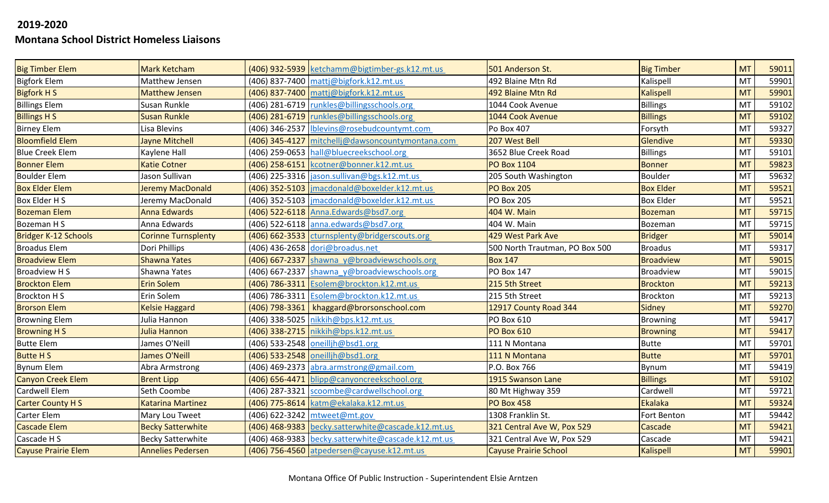| <b>Big Timber Elem</b>      | <b>Mark Ketcham</b>        | (406) 932-5939 ketchamm@bigtimber-gs.k12.mt.us     | 501 Anderson St.               | <b>Big Timber</b> | <b>MT</b> | 59011 |
|-----------------------------|----------------------------|----------------------------------------------------|--------------------------------|-------------------|-----------|-------|
| <b>Bigfork Elem</b>         | Matthew Jensen             | (406) 837-7400 matti@bigfork.k12.mt.us             | 492 Blaine Mtn Rd              | Kalispell         | <b>MT</b> | 59901 |
| <b>Bigfork H S</b>          | <b>Matthew Jensen</b>      | (406) 837-7400 mattj@bigfork.k12.mt.us             | 492 Blaine Mtn Rd              | <b>Kalispell</b>  | <b>MT</b> | 59901 |
| <b>Billings Elem</b>        | Susan Runkle               | (406) 281-6719   runkles@billingsschools.org       | 1044 Cook Avenue               | Billings          | MT        | 59102 |
| <b>Billings H S</b>         | <b>Susan Runkle</b>        | (406) 281-6719   runkles@billingsschools.org       | 1044 Cook Avenue               | <b>Billings</b>   | <b>MT</b> | 59102 |
| <b>Birney Elem</b>          | Lisa Blevins               | (406) 346-2537   Iblevins@rosebudcountymt.com      | Po Box 407                     | Forsyth           | <b>MT</b> | 59327 |
| <b>Bloomfield Elem</b>      | Jayne Mitchell             | (406) 345-4127 mitchellj@dawsoncountymontana.com   | 207 West Bell                  | Glendive          | <b>MT</b> | 59330 |
| <b>Blue Creek Elem</b>      | Kaylene Hall               | (406) 259-0653 hall@bluecreekschool.org            | 3652 Blue Creek Road           | Billings          | MT        | 59101 |
| <b>Bonner Elem</b>          | <b>Katie Cotner</b>        | (406) 258-6151 kcotner@bonner.k12.mt.us            | <b>PO Box 1104</b>             | <b>Bonner</b>     | <b>MT</b> | 59823 |
| <b>Boulder Elem</b>         | Jason Sullivan             | (406) 225-3316 jason.sullivan@bgs.k12.mt.us        | 205 South Washington           | Boulder           | <b>MT</b> | 59632 |
| <b>Box Elder Elem</b>       | Jeremy MacDonald           | (406) 352-5103   jmacdonald@boxelder.k12.mt.us     | <b>PO Box 205</b>              | <b>Box Elder</b>  | <b>MT</b> | 59521 |
| Box Elder H S               | Jeremy MacDonald           | (406) 352-5103   imacdonald@boxelder.k12.mt.us     | <b>PO Box 205</b>              | <b>Box Elder</b>  | <b>MT</b> | 59521 |
| <b>Bozeman Elem</b>         | <b>Anna Edwards</b>        | (406) 522-6118 Anna.Edwards@bsd7.org               | 404 W. Main                    | <b>Bozeman</b>    | <b>MT</b> | 59715 |
| Bozeman H S                 | Anna Edwards               | (406) 522-6118 anna.edwards@bsd7.org               | 404 W. Main                    | Bozeman           | MT        | 59715 |
| <b>Bridger K-12 Schools</b> | <b>Corinne Turnsplenty</b> | (406) 662-3533 cturnsplenty@bridgerscouts.org      | 429 West Park Ave              | <b>Bridger</b>    | <b>MT</b> | 59014 |
| <b>Broadus Elem</b>         | Dori Phillips              | (406) 436-2658 dori@broadus.net                    | 500 North Trautman, PO Box 500 | <b>Broadus</b>    | <b>MT</b> | 59317 |
| <b>Broadview Elem</b>       | <b>Shawna Yates</b>        | (406) 667-2337 shawna y@broadviewschools.org       | <b>Box 147</b>                 | <b>Broadview</b>  | <b>MT</b> | 59015 |
| <b>Broadview HS</b>         | Shawna Yates               | (406) 667-2337 shawna y@broadviewschools.org       | <b>PO Box 147</b>              | <b>Broadview</b>  | MT        | 59015 |
| <b>Brockton Elem</b>        | <b>Erin Solem</b>          | (406) 786-3311 Esolem@brockton.k12.mt.us           | 215 5th Street                 | <b>Brockton</b>   | <b>MT</b> | 59213 |
| <b>Brockton HS</b>          | Erin Solem                 | (406) 786-3311 Esolem@brockton.k12.mt.us           | 215 5th Street                 | <b>Brockton</b>   | <b>MT</b> | 59213 |
| <b>Brorson Elem</b>         | <b>Kelsie Haggard</b>      | (406) 798-3361   khaggard@brorsonschool.com        | 12917 County Road 344          | <b>Sidney</b>     | <b>MT</b> | 59270 |
| <b>Browning Elem</b>        | Julia Hannon               | (406) 338-5025 nikkih@bps.k12.mt.us                | PO Box 610                     | Browning          | MT        | 59417 |
| <b>Browning HS</b>          | Julia Hannon               | (406) 338-2715   nikkih@bps.k12.mt.us              | <b>PO Box 610</b>              | <b>Browning</b>   | <b>MT</b> | 59417 |
| <b>Butte Elem</b>           | James O'Neill              | (406) 533-2548 oneillih@bsd1.org                   | 111 N Montana                  | <b>Butte</b>      | <b>MT</b> | 59701 |
| <b>Butte HS</b>             | <b>James O'Neill</b>       | (406) 533-2548 oneilljh@bsd1.org                   | 111 N Montana                  | <b>Butte</b>      | <b>MT</b> | 59701 |
| <b>Bynum Elem</b>           | Abra Armstrong             | (406) 469-2373 abra.armstrong@gmail.com            | P.O. Box 766                   | <b>Bynum</b>      | <b>MT</b> | 59419 |
| <b>Canyon Creek Elem</b>    | <b>Brent Lipp</b>          | (406) 656-4471 blipp@canyoncreekschool.org         | 1915 Swanson Lane              | <b>Billings</b>   | <b>MT</b> | 59102 |
| Cardwell Elem               | Seth Coombe                | (406) 287-3321 scoombe@cardwellschool.org          | 80 Mt Highway 359              | Cardwell          | MT        | 59721 |
| <b>Carter County HS</b>     | <b>Katarina Martinez</b>   | (406) 775-8614 katm@ekalaka.k12.mt.us              | <b>PO Box 458</b>              | Ekalaka           | <b>MT</b> | 59324 |
| Carter Elem                 | Mary Lou Tweet             | (406) 622-3242 mtweet@mt.gov                       | 1308 Franklin St.              | Fort Benton       | MT        | 59442 |
| <b>Cascade Elem</b>         | <b>Becky Satterwhite</b>   | (406) 468-9383 becky.satterwhite@cascade.k12.mt.us | 321 Central Ave W, Pox 529     | Cascade           | <b>MT</b> | 59421 |
| Cascade H S                 | <b>Becky Satterwhite</b>   | (406) 468-9383 becky.satterwhite@cascade.k12.mt.us | 321 Central Ave W, Pox 529     | Cascade           | <b>MT</b> | 59421 |
| <b>Cayuse Prairie Elem</b>  | <b>Annelies Pedersen</b>   | (406) 756-4560 atpedersen@cayuse.k12.mt.us         | <b>Cayuse Prairie School</b>   | <b>Kalispell</b>  | <b>MT</b> | 59901 |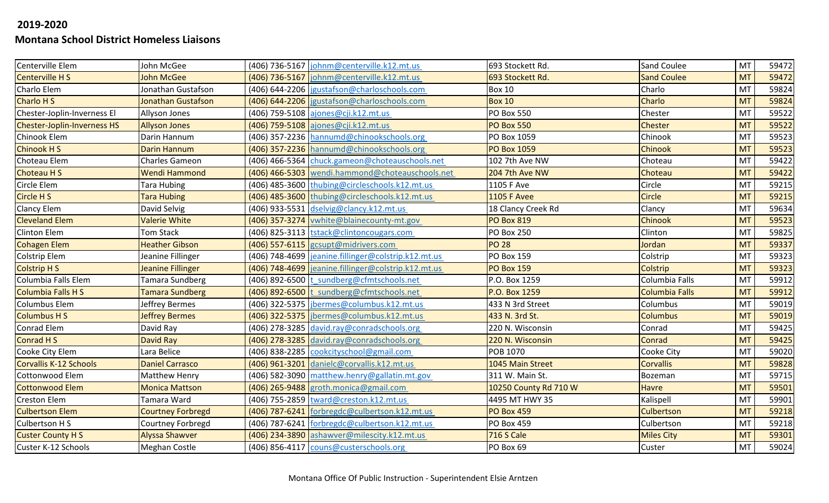| Centerville Elem                   | John McGee               | (406) 736-5167 johnm@centerville.k12.mt.us           | 693 Stockett Rd.      | Sand Coulee           | MT        | 59472 |
|------------------------------------|--------------------------|------------------------------------------------------|-----------------------|-----------------------|-----------|-------|
| <b>Centerville HS</b>              | <b>John McGee</b>        | (406) 736-5167  johnm@centerville.k12.mt.us          | 693 Stockett Rd.      | <b>Sand Coulee</b>    | <b>MT</b> | 59472 |
| Charlo Elem                        | Jonathan Gustafson       | (406) 644-2206   igustafson@charloschools.com        | <b>Box 10</b>         | Charlo                | MT        | 59824 |
| Charlo H S                         | Jonathan Gustafson       | (406) 644-2206   jgustafson@charloschools.com        | <b>Box 10</b>         | Charlo                | <b>MT</b> | 59824 |
| Chester-Joplin-Inverness El        | Allyson Jones            | (406) 759-5108 ajones@cji.k12.mt.us                  | <b>PO Box 550</b>     | Chester               | MT        | 59522 |
| <b>Chester-Joplin-Inverness HS</b> | <b>Allyson Jones</b>     | (406) 759-5108 ajones@cji.k12.mt.us                  | <b>PO Box 550</b>     | <b>Chester</b>        | <b>MT</b> | 59522 |
| Chinook Elem                       | Darin Hannum             | (406) 357-2236 hannumd@chinookschools.org            | PO Box 1059           | Chinook               | MT        | 59523 |
| <b>Chinook HS</b>                  | <b>Darin Hannum</b>      | (406) 357-2236 hannumd@chinookschools.org            | <b>PO Box 1059</b>    | Chinook               | <b>MT</b> | 59523 |
| Choteau Elem                       | <b>Charles Gameon</b>    | (406) 466-5364 chuck.gameon@choteauschools.net       | 102 7th Ave NW        | Choteau               | <b>MT</b> | 59422 |
| <b>Choteau HS</b>                  | <b>Wendi Hammond</b>     | (406) 466-5303 wendi.hammond@choteauschools.net      | 204 7th Ave NW        | Choteau               | <b>MT</b> | 59422 |
| Circle Elem                        | Tara Hubing              | (406) 485-3600 thubing@circleschools.k12.mt.us       | 1105 F Ave            | Circle                | MT        | 59215 |
| Circle H S                         | <b>Tara Hubing</b>       | (406) 485-3600 thubing@circleschools.k12.mt.us       | <b>1105 F Avee</b>    | Circle                | <b>MT</b> | 59215 |
| <b>Clancy Elem</b>                 | David Selvig             | (406) 933-5531 dselvig@clancy.k12.mt.us              | 18 Clancy Creek Rd    | Clancy                | MT        | 59634 |
| <b>Cleveland Elem</b>              | <b>Valerie White</b>     | (406) 357-3274 vwhite@blainecounty-mt.gov            | <b>PO Box 819</b>     | Chinook               | <b>MT</b> | 59523 |
| Clinton Elem                       | <b>Tom Stack</b>         | (406) 825-3113  tstack@clintoncougars.com            | <b>PO Box 250</b>     | Clinton               | MT        | 59825 |
| <b>Cohagen Elem</b>                | <b>Heather Gibson</b>    | (406) 557-6115 gcsupt@midrivers.com                  | <b>PO 28</b>          | Jordan                | <b>MT</b> | 59337 |
| Colstrip Elem                      | Jeanine Fillinger        | (406) 748-4699  jeanine.fillinger@colstrip.k12.mt.us | PO Box 159            | Colstrip              | <b>MT</b> | 59323 |
| <b>Colstrip HS</b>                 | Jeanine Fillinger        | (406) 748-4699  jeanine.fillinger@colstrip.k12.mt.us | <b>PO Box 159</b>     | Colstrip              | <b>MT</b> | 59323 |
| Columbia Falls Elem                | Tamara Sundberg          | (406) 892-6500 t sundberg@cfmtschools.net            | P.O. Box 1259         | Columbia Falls        | MT        | 59912 |
| <b>Columbia Falls H S</b>          | <b>Tamara Sundberg</b>   | (406) 892-6500 t sundberg@cfmtschools.net            | P.O. Box 1259         | <b>Columbia Falls</b> | <b>MT</b> | 59912 |
| Columbus Elem                      | Jeffrey Bermes           | (406) 322-5375  jbermes@columbus.k12.mt.us           | 433 N 3rd Street      | Columbus              | MT        | 59019 |
| <b>Columbus H S</b>                | <b>Jeffrey Bermes</b>    | (406) 322-5375  jbermes@columbus.k12.mt.us           | 433 N. 3rd St.        | <b>Columbus</b>       | <b>MT</b> | 59019 |
| <b>Conrad Elem</b>                 | David Ray                | (406) 278-3285 david.ray@conradschools.org           | 220 N. Wisconsin      | Conrad                | MT        | 59425 |
| Conrad H S                         | David Ray                | (406) 278-3285 david.ray@conradschools.org           | 220 N. Wisconsin      | Conrad                | <b>MT</b> | 59425 |
| Cooke City Elem                    | Lara Belice              | (406) 838-2285  cookcityschool@gmail.com             | POB 1070              | Cooke City            | MT        | 59020 |
| <b>Corvallis K-12 Schools</b>      | <b>Daniel Carrasco</b>   | (406) 961-3201 danielc@corvallis.k12.mt.us           | 1045 Main Street      | <b>Corvallis</b>      | <b>MT</b> | 59828 |
| Cottonwood Elem                    | <b>Matthew Henry</b>     | (406) 582-3090 matthew.henry@gallatin.mt.gov         | 311 W. Main St.       | Bozeman               | MT        | 59715 |
| <b>Cottonwood Elem</b>             | <b>Monica Mattson</b>    | (406) 265-9488 groth.monica@gmail.com                | 10250 County Rd 710 W | <b>Havre</b>          | <b>MT</b> | 59501 |
| <b>Creston Elem</b>                | Tamara Ward              | (406) 755-2859 tward@creston.k12.mt.us               | 4495 MT HWY 35        | Kalispell             | <b>MT</b> | 59901 |
| <b>Culbertson Elem</b>             | <b>Courtney Forbregd</b> | (406) 787-6241   forbregdc@culbertson.k12.mt.us      | <b>PO Box 459</b>     | Culbertson            | <b>MT</b> | 59218 |
| Culbertson H S                     | Courtney Forbregd        | (406) 787-6241 forbregdc@culbertson.k12.mt.us        | <b>PO Box 459</b>     | Culbertson            | MT        | 59218 |
| <b>Custer County HS</b>            | <b>Alyssa Shawver</b>    | (406) 234-3890 ashawver@milescity.k12.mt.us          | <b>716 S Cale</b>     | <b>Miles City</b>     | <b>MT</b> | 59301 |
| Custer K-12 Schools                | <b>Meghan Costle</b>     | (406) 856-4117 couns@custerschools.org               | PO Box 69             | Custer                | <b>MT</b> | 59024 |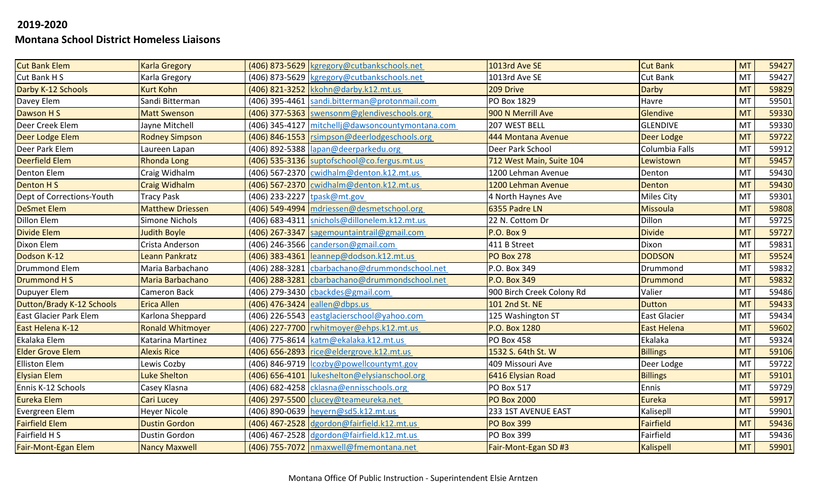| <b>Cut Bank Elem</b>      | <b>Karla Gregory</b>    |                               | (406) 873-5629 kgregory@cutbankschools.net       | 1013rd Ave SE             | <b>Cut Bank</b>     | <b>MT</b> | 59427 |
|---------------------------|-------------------------|-------------------------------|--------------------------------------------------|---------------------------|---------------------|-----------|-------|
| Cut Bank H S              | Karla Gregory           |                               | (406) 873-5629 kgregory@cutbankschools.net       | 1013rd Ave SE             | <b>Cut Bank</b>     | <b>MT</b> | 59427 |
| Darby K-12 Schools        | <b>Kurt Kohn</b>        |                               | (406) 821-3252 kkohn@darby.k12.mt.us             | 209 Drive                 | Darby               | <b>MT</b> | 59829 |
| Davey Elem                | Sandi Bitterman         |                               | (406) 395-4461 sandi.bitterman@protonmail.com    | PO Box 1829               | Havre               | <b>MT</b> | 59501 |
| Dawson H S                | <b>Matt Swenson</b>     |                               | (406) 377-5363 swensonm@glendiveschools.org      | 900 N Merrill Ave         | Glendive            | <b>MT</b> | 59330 |
| Deer Creek Elem           | Jayne Mitchell          |                               | (406) 345-4127 mitchellj@dawsoncountymontana.com | 207 WEST BELL             | <b>GLENDIVE</b>     | MT        | 59330 |
| Deer Lodge Elem           | <b>Rodney Simpson</b>   |                               | (406) 846-1553 rsimpson@deerlodgeschools.org     | 444 Montana Avenue        | Deer Lodge          | <b>MT</b> | 59722 |
| Deer Park Elem            | Laureen Lapan           |                               | (406) 892-5388  lapan@deerparkedu.org            | Deer Park School          | Columbia Falls      | MT        | 59912 |
| <b>Deerfield Elem</b>     | <b>Rhonda Long</b>      |                               | (406) 535-3136 suptofschool@co.fergus.mt.us      | 712 West Main, Suite 104  | Lewistown           | <b>MT</b> | 59457 |
| Denton Elem               | Craig Widhalm           |                               | (406) 567-2370   cwidhalm@denton.k12.mt.us       | 1200 Lehman Avenue        | Denton              | MT        | 59430 |
| <b>Denton HS</b>          | <b>Craig Widhalm</b>    |                               | (406) 567-2370 cwidhalm@denton.k12.mt.us         | 1200 Lehman Avenue        | Denton              | <b>MT</b> | 59430 |
| Dept of Corrections-Youth | <b>Tracy Pask</b>       | (406) 233-2227 tpask@mt.gov   |                                                  | 4 North Haynes Ave        | <b>Miles City</b>   | <b>MT</b> | 59301 |
| <b>DeSmet Elem</b>        | <b>Matthew Driessen</b> |                               | (406) 549-4994 mdriessen@desmetschool.org        | 6355 Padre LN             | <b>Missoula</b>     | <b>MT</b> | 59808 |
| Dillon Elem               | Simone Nichols          |                               | (406) 683-4311 snichols@dillonelem.k12.mt.us     | 22 N. Cottom Dr           | Dillon              | <b>MT</b> | 59725 |
| <b>Divide Elem</b>        | <b>Judith Boyle</b>     |                               | (406) 267-3347 sagemountaintrail@gmail.com       | <b>P.O. Box 9</b>         | <b>Divide</b>       | <b>MT</b> | 59727 |
| Dixon Elem                | Crista Anderson         |                               | (406) 246-3566 canderson@gmail.com               | 411 B Street              | Dixon               | <b>MT</b> | 59831 |
| Dodson K-12               | Leann Pankratz          |                               | (406) 383-4361 leannep@dodson.k12.mt.us          | <b>PO Box 278</b>         | <b>DODSON</b>       | <b>MT</b> | 59524 |
| <b>Drummond Elem</b>      | Maria Barbachano        |                               | (406) 288-3281 cbarbachano@drummondschool.net    | P.O. Box 349              | Drummond            | MT        | 59832 |
| Drummond H S              | <b>Maria Barbachano</b> |                               | (406) 288-3281 cbarbachano@drummondschool.net    | P.O. Box 349              | <b>Drummond</b>     | <b>MT</b> | 59832 |
| Dupuyer Elem              | <b>Cameron Back</b>     |                               | (406) 279-3430 cbackdes@gmail.com                | 900 Birch Creek Colony Rd | Valier              | <b>MT</b> | 59486 |
| Dutton/Brady K-12 Schools | <b>Erica Allen</b>      | (406) 476-3424 eallen@dbps.us |                                                  | 101 2nd St. NE            | <b>Dutton</b>       | <b>MT</b> | 59433 |
| East Glacier Park Elem    | Karlona Sheppard        |                               | (406) 226-5543 eastglacierschool@yahoo.com       | 125 Washington ST         | <b>East Glacier</b> | MT        | 59434 |
| East Helena K-12          | <b>Ronald Whitmoyer</b> |                               | (406) 227-7700 rwhitmoyer@ehps.k12.mt.us         | P.O. Box 1280             | <b>East Helena</b>  | <b>MT</b> | 59602 |
| Ekalaka Elem              | Katarina Martinez       |                               | (406) 775-8614 katm@ekalaka.k12.mt.us            | <b>PO Box 458</b>         | Ekalaka             | <b>MT</b> | 59324 |
| <b>Elder Grove Elem</b>   | <b>Alexis Rice</b>      |                               | (406) 656-2893 rice@eldergrove.k12.mt.us         | 1532 S. 64th St. W        | <b>Billings</b>     | <b>MT</b> | 59106 |
| <b>Elliston Elem</b>      | Lewis Cozby             |                               | (406) 846-9719   cozby@powellcountymt.gov        | 409 Missouri Ave          | Deer Lodge          | MT        | 59722 |
| <b>Elysian Elem</b>       | <b>Luke Shelton</b>     |                               | (406) 656-4101  lukeshelton@elysianschool.org    | 6416 Elysian Road         | <b>Billings</b>     | <b>MT</b> | 59101 |
| Ennis K-12 Schools        | Casey Klasna            |                               | (406) 682-4258 cklasna@ennisschools.org          | <b>PO Box 517</b>         | Ennis               | MT        | 59729 |
| Eureka Elem               | <b>Cari Lucey</b>       |                               | (406) 297-5500 clucey@teameureka.net             | <b>PO Box 2000</b>        | <b>Eureka</b>       | <b>MT</b> | 59917 |
| Evergreen Elem            | <b>Heyer Nicole</b>     |                               | (406) 890-0639 heyern@sd5.k12.mt.us              | 233 1ST AVENUE EAST       | Kalisepll           | MT        | 59901 |
| <b>Fairfield Elem</b>     | <b>Dustin Gordon</b>    |                               | (406) 467-2528 dgordon@fairfield.k12.mt.us       | <b>PO Box 399</b>         | Fairfield           | <b>MT</b> | 59436 |
| Fairfield H S             | Dustin Gordon           |                               | (406) 467-2528 dgordon@fairfield.k12.mt.us       | PO Box 399                | Fairfield           | MT        | 59436 |
| Fair-Mont-Egan Elem       | <b>Nancy Maxwell</b>    |                               | (406) 755-7072   nmaxwell@fmemontana.net         | Fair-Mont-Egan SD #3      | <b>Kalispell</b>    | <b>MT</b> | 59901 |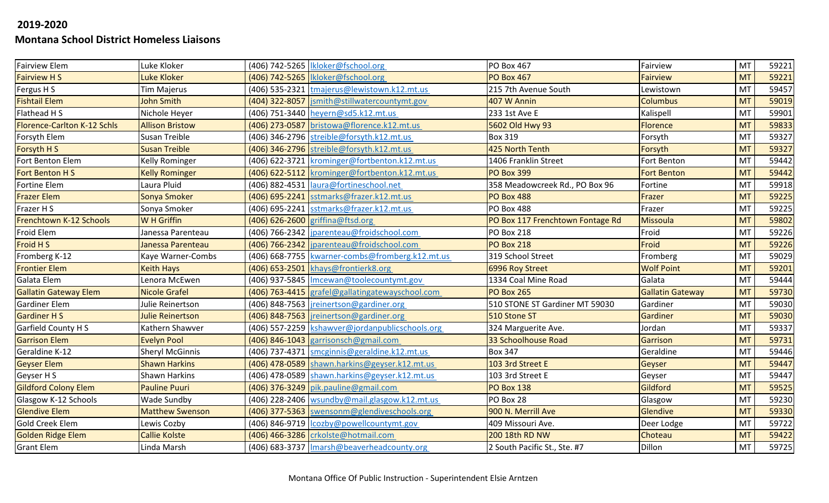| <b>Fairview Elem</b>               | Luke Kloker             | (406) 742-5265   Ikloker@fschool.org              | <b>PO Box 467</b>                | Fairview                | MT        | 59221 |
|------------------------------------|-------------------------|---------------------------------------------------|----------------------------------|-------------------------|-----------|-------|
| <b>Fairview HS</b>                 | Luke Kloker             | (406) 742-5265   Ikloker@fschool.org              | <b>PO Box 467</b>                | <b>Fairview</b>         | <b>MT</b> | 59221 |
| Fergus H S                         | <b>Tim Majerus</b>      | (406) 535-2321 tmajerus@lewistown.k12.mt.us       | 215 7th Avenue South             | Lewistown               | MT        | 59457 |
| <b>Fishtail Elem</b>               | <b>John Smith</b>       | (404) 322-8057  jsmith@stillwatercountymt.gov     | 407 W Annin                      | <b>Columbus</b>         | <b>MT</b> | 59019 |
| Flathead H S                       | Nichole Heyer           | (406) 751-3440 heyern@sd5.k12.mt.us               | 233 1st Ave E                    | Kalispell               | MT        | 59901 |
| <b>Florence-Carlton K-12 Schls</b> | <b>Allison Bristow</b>  | (406) 273-0587 bristowa@florence.k12.mt.us        | 5602 Old Hwy 93                  | <b>Florence</b>         | <b>MT</b> | 59833 |
| Forsyth Elem                       | Susan Treible           | (406) 346-2796 streible@forsyth.k12.mt.us         | <b>Box 319</b>                   | Forsyth                 | <b>MT</b> | 59327 |
| Forsyth H S                        | <b>Susan Treible</b>    | (406) 346-2796 streible@forsyth.k12.mt.us         | 425 North Tenth                  | Forsyth                 | <b>MT</b> | 59327 |
| Fort Benton Elem                   | <b>Kelly Rominger</b>   | (406) 622-3721 krominger@fortbenton.k12.mt.us     | 1406 Franklin Street             | Fort Benton             | MT        | 59442 |
| Fort Benton H S                    | <b>Kelly Rominger</b>   | (406) 622-5112 krominger@fortbenton.k12.mt.us     | <b>PO Box 399</b>                | <b>Fort Benton</b>      | <b>MT</b> | 59442 |
| Fortine Elem                       | Laura Pluid             | (406) 882-4531  laura@fortineschool.net           | 358 Meadowcreek Rd., PO Box 96   | Fortine                 | MT        | 59918 |
| <b>Frazer Elem</b>                 | Sonya Smoker            | (406) 695-2241 sstmarks@frazer.k12.mt.us          | <b>PO Box 488</b>                | Frazer                  | <b>MT</b> | 59225 |
| Frazer H S                         | Sonya Smoker            | (406) 695-2241 sstmarks@frazer.k12.mt.us          | <b>PO Box 488</b>                | Frazer                  | MT        | 59225 |
| Frenchtown K-12 Schools            | <b>W</b> H Griffin      | (406) 626-2600 griffina@ftsd.org                  | PO Box 117 Frenchtown Fontage Rd | <b>Missoula</b>         | <b>MT</b> | 59802 |
| Froid Elem                         | Janessa Parenteau       | (406) 766-2342   jparenteau@froidschool.com       | <b>PO Box 218</b>                | Froid                   | MT        | 59226 |
| Froid H S                          | Janessa Parenteau       | (406) 766-2342  jparenteau@froidschool.com        | <b>PO Box 218</b>                | Froid                   | <b>MT</b> | 59226 |
| Fromberg K-12                      | Kaye Warner-Combs       | (406) 668-7755 kwarner-combs@fromberg.k12.mt.us   | 319 School Street                | Fromberg                | MT        | 59029 |
| <b>Frontier Elem</b>               | <b>Keith Hays</b>       | (406) 653-2501 khays@frontierk8.org               | 6996 Roy Street                  | <b>Wolf Point</b>       | <b>MT</b> | 59201 |
| Galata Elem                        | Lenora McEwen           | (406) 937-5845   Imcewan@toolecountymt.gov        | 1334 Coal Mine Road              | Galata                  | MT        | 59444 |
| <b>Gallatin Gateway Elem</b>       | <b>Nicole Grafel</b>    | (406) 763-4415 grafel@gallatingatewayschool.com   | <b>PO Box 265</b>                | <b>Gallatin Gateway</b> | <b>MT</b> | 59730 |
| <b>Gardiner Elem</b>               | Julie Reinertson        | (406) 848-7563   jreinertson@gardiner.org         | 510 STONE ST Gardiner MT 59030   | Gardiner                | <b>MT</b> | 59030 |
| <b>Gardiner H S</b>                | <b>Julie Reinertson</b> | (406) 848-7563   jreinertson@gardiner.org         | 510 Stone ST                     | Gardiner                | <b>MT</b> | 59030 |
| <b>Garfield County HS</b>          | Kathern Shawver         | (406) 557-2259   kshawver@jordanpublicschools.org | 324 Marguerite Ave.              | Jordan                  | MT        | 59337 |
| <b>Garrison Elem</b>               | <b>Evelyn Pool</b>      | $(406)$ 846-1043 garrisonsch@gmail.com            | 33 Schoolhouse Road              | Garrison                | <b>MT</b> | 59731 |
| Geraldine K-12                     | <b>Sheryl McGinnis</b>  | (406) 737-4371 Smcginnis@geraldine.k12.mt.us      | <b>Box 347</b>                   | Geraldine               | MT        | 59446 |
| <b>Geyser Elem</b>                 | <b>Shawn Harkins</b>    | $(406)$ 478-0589 shawn.harkins@geyser.k12.mt.us   | 103 3rd Street E                 | Geyser                  | <b>MT</b> | 59447 |
| Geyser H S                         | <b>Shawn Harkins</b>    | (406) 478-0589 shawn.harkins@geyser.k12.mt.us     | 103 3rd Street E                 | Geyser                  | <b>MT</b> | 59447 |
| <b>Gildford Colony Elem</b>        | <b>Pauline Puuri</b>    | $(406)$ 376-3249 pik.pauline@gmail.com            | <b>PO Box 138</b>                | Gildford                | <b>MT</b> | 59525 |
| Glasgow K-12 Schools               | <b>Wade Sundby</b>      | (406) 228-2406   wsundby@mail.glasgow.k12.mt.us   | PO Box 28                        | Glasgow                 | MT        | 59230 |
| <b>Glendive Elem</b>               | <b>Matthew Swenson</b>  | (406) 377-5363 swensonm@glendiveschools.org       | 900 N. Merrill Ave               | Glendive                | <b>MT</b> | 59330 |
| <b>Gold Creek Elem</b>             | Lewis Cozby             | (406) 846-9719   lcozby@powellcountymt.gov        | 409 Missouri Ave.                | Deer Lodge              | <b>MT</b> | 59722 |
| <b>Golden Ridge Elem</b>           | <b>Callie Kolste</b>    | (406) 466-3286 crkolste@hotmail.com               | 200 18th RD NW                   | Choteau                 | <b>MT</b> | 59422 |
| <b>Grant Elem</b>                  | Linda Marsh             | (406) 683-3737   Imarsh@beaverheadcounty.org      | 2 South Pacific St., Ste. #7     | Dillon                  | <b>MT</b> | 59725 |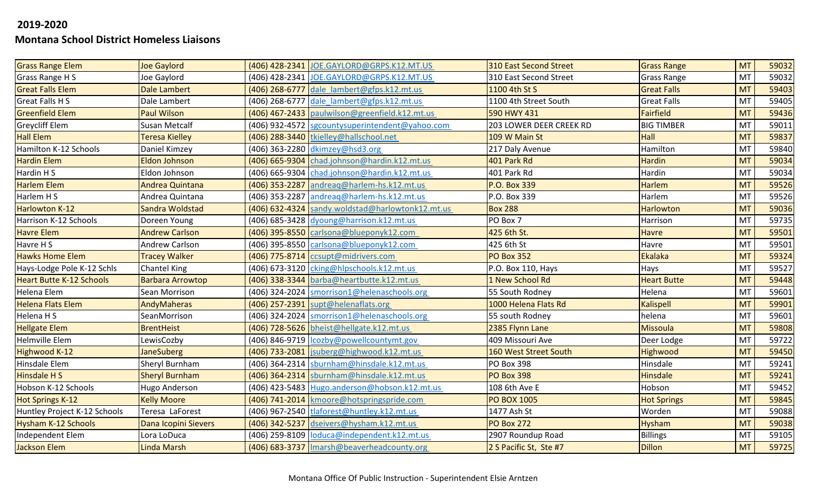| <b>Grass Range Elem</b>         | <b>Joe Gaylord</b>      | (406) 428-2341 JOE.GAYLORD@GRPS.K12.MT.US        | 310 East Second Street  | <b>Grass Range</b> | <b>MT</b> | 59032 |
|---------------------------------|-------------------------|--------------------------------------------------|-------------------------|--------------------|-----------|-------|
| Grass Range H S                 | Joe Gaylord             | (406) 428-2341 JOE.GAYLORD@GRPS.K12.MT.US        | 310 East Second Street  | <b>Grass Range</b> | MT        | 59032 |
| <b>Great Falls Elem</b>         | Dale Lambert            | (406) 268-6777 dale lambert@gfps.k12.mt.us       | 1100 4th St S           | <b>Great Falls</b> | <b>MT</b> | 59403 |
| <b>Great Falls HS</b>           | Dale Lambert            | (406) 268-6777 dale lambert@gfps.k12.mt.us       | 1100 4th Street South   | <b>Great Falls</b> | <b>MT</b> | 59405 |
| <b>Greenfield Elem</b>          | <b>Paul Wilson</b>      | (406) 467-2433   paulwilson@greenfield.k12.mt.us | 590 HWY 431             | <b>Fairfield</b>   | <b>MT</b> | 59436 |
| <b>Greycliff Elem</b>           | Susan Metcalf           | (406) 932-4572 sgcountysuperintendent@yahoo.com  | 203 LOWER DEER CREEK RD | <b>BIG TIMBER</b>  | MT        | 59011 |
| <b>Hall Elem</b>                | Teresa Kielley          | (406) 288-3440 tkielley@hallschool.net           | 109 W Main St           | Hall               | <b>MT</b> | 59837 |
| Hamilton K-12 Schools           | Daniel Kimzey           | (406) 363-2280 dkimzey@hsd3.org                  | 217 Daly Avenue         | Hamilton           | <b>MT</b> | 59840 |
| <b>Hardin Elem</b>              | Eldon Johnson           | (406) 665-9304 chad.johnson@hardin.k12.mt.us     | 401 Park Rd             | <b>Hardin</b>      | <b>MT</b> | 59034 |
| Hardin H S                      | Eldon Johnson           | (406) 665-9304 chad.johnson@hardin.k12.mt.us     | 401 Park Rd             | Hardin             | MT        | 59034 |
| <b>Harlem Elem</b>              | <b>Andrea Quintana</b>  | (406) 353-2287 andreag@harlem-hs.k12.mt.us       | P.O. Box 339            | <b>Harlem</b>      | <b>MT</b> | 59526 |
| Harlem H S                      | Andrea Quintana         | (406) 353-2287 andreag@harlem-hs.k12.mt.us       | P.O. Box 339            | Harlem             | <b>MT</b> | 59526 |
| <b>Harlowton K-12</b>           | Sandra Woldstad         | (406) 632-4324 sandy.woldstad@harlowtonk12.mt.us | <b>Box 288</b>          | <b>Harlowton</b>   | <b>MT</b> | 59036 |
| Harrison K-12 Schools           | Doreen Young            | (406) 685-3428 dyoung@harrison.k12.mt.us         | PO Box 7                | Harrison           | MT        | 59735 |
| <b>Havre Elem</b>               | <b>Andrew Carlson</b>   | (406) 395-8550 carlsona@blueponyk12.com          | 425 6th St.             | <b>Havre</b>       | <b>MT</b> | 59501 |
| Havre H S                       | Andrew Carlson          | (406) 395-8550 carlsona@blueponyk12.com          | 425 6th St              | Havre              | MT        | 59501 |
| <b>Hawks Home Elem</b>          | <b>Tracey Walker</b>    | (406) 775-8714   ccsupt@midrivers.com            | <b>PO Box 352</b>       | Ekalaka            | <b>MT</b> | 59324 |
| Hays-Lodge Pole K-12 Schls      | <b>Chantel King</b>     | (406) 673-3120 cking@hlpschools.k12.mt.us        | P.O. Box 110, Hays      | Hays               | MT        | 59527 |
| <b>Heart Butte K-12 Schools</b> | <b>Barbara Arrowtop</b> | (406) 338-3344 barba@heartbutte.k12.mt.us        | 1 New School Rd         | <b>Heart Butte</b> | <b>MT</b> | 59448 |
| Helena Elem                     | Sean Morrison           | (406) 324-2024 Smorrison1@helenaschools.org      | 55 South Rodney         | Helena             | MT        | 59601 |
| <b>Helena Flats Elem</b>        | AndyMaheras             | (406) 257-2391 supt@helenaflats.org              | 1000 Helena Flats Rd    | <b>Kalispell</b>   | <b>MT</b> | 59901 |
| Helena H S                      | SeanMorrison            | (406) 324-2024 Smorrison1@helenaschools.org      | 55 south Rodney         | helena             | MT        | 59601 |
| <b>Hellgate Elem</b>            | <b>BrentHeist</b>       | (406) 728-5626 bheist@hellgate.k12.mt.us         | 2385 Flynn Lane         | <b>Missoula</b>    | <b>MT</b> | 59808 |
| <b>Helmville Elem</b>           | LewisCozby              | (406) 846-9719   lcozby@powellcountymt.gov       | 409 Missouri Ave        | Deer Lodge         | MT        | 59722 |
| Highwood K-12                   | <b>JaneSuberg</b>       | (406) 733-2081   jsuberg@highwood.k12.mt.us      | 160 West Street South   | Highwood           | <b>MT</b> | 59450 |
| Hinsdale Elem                   | Sheryl Burnham          | (406) 364-2314 sburnham@hinsdale.k12.mt.us       | <b>PO Box 398</b>       | Hinsdale           | MT        | 59241 |
| Hinsdale H S                    | <b>Sheryl Burnham</b>   | (406) 364-2314 sburnham@hinsdale.k12.mt.us       | <b>PO Box 398</b>       | <b>Hinsdale</b>    | <b>MT</b> | 59241 |
| Hobson K-12 Schools             | Hugo Anderson           | (406) 423-5483 Hugo.anderson@hobson.k12.mt.us    | 108 6th Ave E           | Hobson             | MT        | 59452 |
| <b>Hot Springs K-12</b>         | <b>Kelly Moore</b>      | (406) 741-2014   kmoore@hotspringspride.com      | <b>PO BOX 1005</b>      | <b>Hot Springs</b> | <b>MT</b> | 59845 |
| Huntley Project K-12 Schools    | Teresa LaForest         | (406) 967-2540 tlaforest@huntley.k12.mt.us       | 1477 Ash St             | Worden             | MT        | 59088 |
| Hysham K-12 Schools             | Dana Icopini Sievers    | (406) 342-5237 dseivers@hysham.k12.mt.us         | <b>PO Box 272</b>       | <b>Hysham</b>      | <b>MT</b> | 59038 |
| Independent Elem                | Lora LoDuca             | (406) 259-8109 loduca@independent.k12.mt.us      | 2907 Roundup Road       | <b>Billings</b>    | MT        | 59105 |
| Jackson Elem                    | Linda Marsh             | (406) 683-3737 Imarsh@beaverheadcounty.org       | 2 S Pacific St, Ste #7  | <b>Dillon</b>      | <b>MT</b> | 59725 |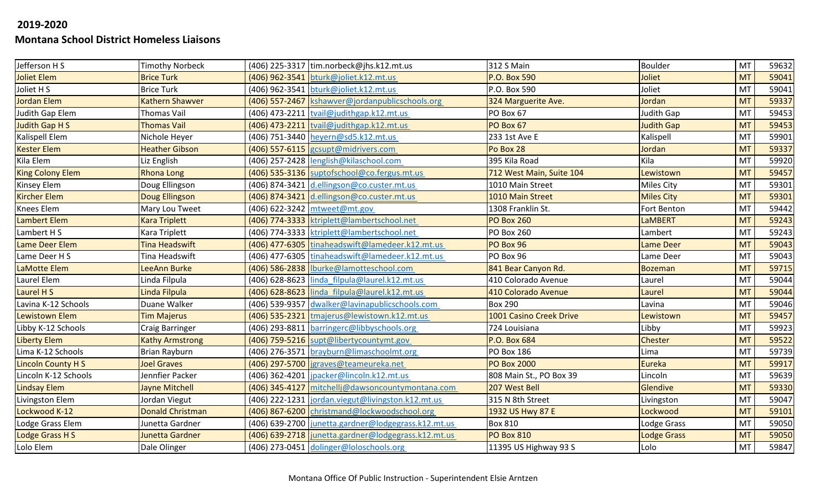| Jefferson H S            | <b>Timothy Norbeck</b>  | (406) 225-3317 tim.norbeck@jhs.k12.mt.us            | <b>312 S Main</b>        | Boulder            | MT        | 59632 |
|--------------------------|-------------------------|-----------------------------------------------------|--------------------------|--------------------|-----------|-------|
| Joliet Elem              | <b>Brice Turk</b>       | (406) 962-3541 bturk@joliet.k12.mt.us               | <b>P.O. Box 590</b>      | Joliet             | <b>MT</b> | 59041 |
| Joliet H S               | <b>Brice Turk</b>       | (406) 962-3541 bturk@joliet.k12.mt.us               | P.O. Box 590             | Joliet             | MT        | 59041 |
| <b>Jordan Elem</b>       | <b>Kathern Shawver</b>  | (406) 557-2467 kshawver@jordanpublicschools.org     | 324 Marguerite Ave.      | Jordan             | <b>MT</b> | 59337 |
| Judith Gap Elem          | Thomas Vail             | $(406)$ 473-2211 tvail@judithgap.k12.mt.us          | PO Box 67                | Judith Gap         | MT        | 59453 |
| Judith Gap H S           | <b>Thomas Vail</b>      | (406) 473-2211 tvail@judithgap.k12.mt.us            | PO Box 67                | <b>Judith Gap</b>  | <b>MT</b> | 59453 |
| Kalispell Elem           | Nichole Heyer           | (406) 751-3440 heyern@sd5.k12.mt.us                 | 233 1st Ave E            | Kalispell          | MT        | 59901 |
| <b>Kester Elem</b>       | <b>Heather Gibson</b>   | (406) 557-6115 gcsupt@midrivers.com                 | Po Box 28                | Jordan             | <b>MT</b> | 59337 |
| Kila Elem                | Liz English             | (406) 257-2428 lenglish@kilaschool.com              | 395 Kila Road            | Kila               | MT        | 59920 |
| <b>King Colony Elem</b>  | <b>Rhona Long</b>       | (406) 535-3136 suptofschool@co.fergus.mt.us         | 712 West Main, Suite 104 | Lewistown          | <b>MT</b> | 59457 |
| <b>Kinsey Elem</b>       | Doug Ellingson          | (406) 874-3421 d.ellingson@co.custer.mt.us          | 1010 Main Street         | Miles City         | MT        | 59301 |
| <b>Kircher Elem</b>      | Doug Ellingson          | (406) 874-3421 d.ellingson@co.custer.mt.us          | 1010 Main Street         | <b>Miles City</b>  | <b>MT</b> | 59301 |
| <b>Knees Elem</b>        | Mary Lou Tweet          | (406) 622-3242 mtweet@mt.gov                        | 1308 Franklin St.        | Fort Benton        | <b>MT</b> | 59442 |
| <b>Lambert Elem</b>      | <b>Kara Triplett</b>    | (406) 774-3333 ktriplett@lambertschool.net          | <b>PO Box 260</b>        | <b>LaMBERT</b>     | <b>MT</b> | 59243 |
| Lambert H S              | Kara Triplett           | (406) 774-3333 ktriplett@lambertschool.net          | <b>PO Box 260</b>        | Lambert            | MT        | 59243 |
| Lame Deer Elem           | Tina Headswift          | (406) 477-6305 tinaheadswift@lamedeer.k12.mt.us     | PO Box 96                | Lame Deer          | <b>MT</b> | 59043 |
| Lame Deer H S            | Tina Headswift          | (406) 477-6305 tinaheadswift@lamedeer.k12.mt.us     | PO Box 96                | Lame Deer          | MT        | 59043 |
| LaMotte Elem             | LeeAnn Burke            | (406) 586-2838  Iburke@lamotteschool.com            | 841 Bear Canyon Rd.      | <b>Bozeman</b>     | <b>MT</b> | 59715 |
| Laurel Elem              | Linda Filpula           | (406) 628-8623 linda filpula@laurel.k12.mt.us       | 410 Colorado Avenue      | Laurel             | MT        | 59044 |
| Laurel H S               | Linda Filpula           | (406) 628-8623 linda filpula@laurel.k12.mt.us       | 410 Colorado Avenue      | Laurel             | <b>MT</b> | 59044 |
| Lavina K-12 Schools      | Duane Walker            | (406) 539-9357 dwalker@lavinapublicschools.com      | <b>Box 290</b>           | Lavina             | <b>MT</b> | 59046 |
| Lewistown Elem           | <b>Tim Majerus</b>      | (406) 535-2321 tmajerus@lewistown.k12.mt.us         | 1001 Casino Creek Drive  | Lewistown          | <b>MT</b> | 59457 |
| Libby K-12 Schools       | <b>Craig Barringer</b>  | (406) 293-8811 barringerc@libbyschools.org          | 724 Louisiana            | Libby              | MT        | 59923 |
| <b>Liberty Elem</b>      | <b>Kathy Armstrong</b>  | (406) 759-5216 supt@libertycountymt.gov             | P.O. Box 684             | <b>Chester</b>     | <b>MT</b> | 59522 |
| Lima K-12 Schools        | Brian Rayburn           | (406) 276-3571 brayburn@limaschoolmt.org            | <b>PO Box 186</b>        | Lima               | MT        | 59739 |
| <b>Lincoln County HS</b> | <b>Joel Graves</b>      | (406) 297-5700   jgraves@teameureka.net             | <b>PO Box 2000</b>       | <b>Eureka</b>      | <b>MT</b> | 59917 |
| Lincoln K-12 Schools     | Jennfier Packer         | (406) 362-4201   jpacker@lincoln.k12.mt.us          | 808 Main St., PO Box 39  | Lincoln            | MT        | 59639 |
| <b>Lindsay Elem</b>      | Jayne Mitchell          | (406) 345-4127 mitchellj@dawsoncountymontana.com    | 207 West Bell            | Glendive           | <b>MT</b> | 59330 |
| Livingston Elem          | Jordan Viegut           | (406) 222-1231  jordan.viegut@livingston.k12.mt.us  | 315 N 8th Street         | Livingston         | MT        | 59047 |
| Lockwood K-12            | <b>Donald Christman</b> | (406) 867-6200 christmand@lockwoodschool.org        | 1932 US Hwy 87 E         | Lockwood           | <b>MT</b> | 59101 |
| Lodge Grass Elem         | Junetta Gardner         | (406) 639-2700 junetta.gardner@lodgegrass.k12.mt.us | <b>Box 810</b>           | Lodge Grass        | <b>MT</b> | 59050 |
| Lodge Grass H S          | Junetta Gardner         | (406) 639-2718 junetta.gardner@lodgegrass.k12.mt.us | <b>PO Box 810</b>        | <b>Lodge Grass</b> | <b>MT</b> | 59050 |
| Lolo Elem                | Dale Olinger            | (406) 273-0451 dolinger@loloschools.org             | 11395 US Highway 93 S    | Lolo               | <b>MT</b> | 59847 |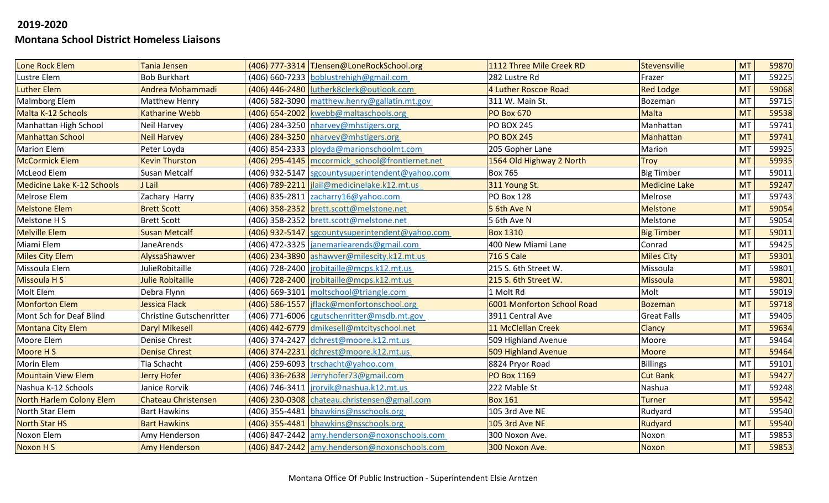| Lone Rock Elem                    | <b>Tania Jensen</b>             | (406) 777-3314 TJensen@LoneRockSchool.org         | 1112 Three Mile Creek RD   | <b>Stevensville</b>  | <b>MT</b> | 59870 |
|-----------------------------------|---------------------------------|---------------------------------------------------|----------------------------|----------------------|-----------|-------|
| Lustre Elem                       | <b>Bob Burkhart</b>             | (406) 660-7233 boblustrehigh@gmail.com            | 282 Lustre Rd              | Frazer               | MT        | 59225 |
| <b>Luther Elem</b>                | Andrea Mohammadi                | (406) 446-2480 lutherk8clerk@outlook.com          | 4 Luther Roscoe Road       | <b>Red Lodge</b>     | <b>MT</b> | 59068 |
| Malmborg Elem                     | <b>Matthew Henry</b>            | (406) 582-3090 matthew.henry@gallatin.mt.gov      | 311 W. Main St.            | Bozeman              | <b>MT</b> | 59715 |
| Malta K-12 Schools                | <b>Katharine Webb</b>           | (406) 654-2002   kwebb@maltaschools.org           | <b>PO Box 670</b>          | <b>Malta</b>         | <b>MT</b> | 59538 |
| Manhattan High School             | Neil Harvey                     | (406) 284-3250 nharvey@mhstigers.org              | <b>PO BOX 245</b>          | Manhattan            | MT        | 59741 |
| <b>Manhattan School</b>           | <b>Neil Harvey</b>              | (406) 284-3250 nharvey@mhstigers.org              | <b>PO BOX 245</b>          | <b>Manhattan</b>     | <b>MT</b> | 59741 |
| <b>Marion Elem</b>                | Peter Loyda                     | (406) 854-2333 ployda@marionschoolmt.com          | 205 Gopher Lane            | Marion               | <b>MT</b> | 59925 |
| <b>McCormick Elem</b>             | <b>Kevin Thurston</b>           | (406) 295-4145   mccormick school@frontiernet.net | 1564 Old Highway 2 North   | <b>Troy</b>          | <b>MT</b> | 59935 |
| McLeod Elem                       | <b>Susan Metcalf</b>            | (406) 932-5147 sgcountysuperintendent@yahoo.com   | <b>Box 765</b>             | <b>Big Timber</b>    | MT        | 59011 |
| <b>Medicine Lake K-12 Schools</b> | J Lail                          | (406) 789-2211   jlail@medicinelake.k12.mt.us     | 311 Young St.              | <b>Medicine Lake</b> | <b>MT</b> | 59247 |
| Melrose Elem                      | Zachary Harry                   | (406) 835-2811 zacharry16@yahoo.com               | PO Box 128                 | Melrose              | <b>MT</b> | 59743 |
| <b>Melstone Elem</b>              | <b>Brett Scott</b>              | (406) 358-2352 brett.scott@melstone.net           | 5 6th Ave N                | <b>Melstone</b>      | <b>MT</b> | 59054 |
| Melstone H S                      | <b>Brett Scott</b>              | (406) 358-2352 brett.scott@melstone.net           | 5 6th Ave N                | Melstone             | MT        | 59054 |
| <b>Melville Elem</b>              | <b>Susan Metcalf</b>            | (406) 932-5147 sgcountysuperintendent@yahoo.com   | <b>Box 1310</b>            | <b>Big Timber</b>    | <b>MT</b> | 59011 |
| Miami Elem                        | <b>JaneArends</b>               | (406) 472-3325  janemariearends@gmail.com         | 400 New Miami Lane         | Conrad               | <b>MT</b> | 59425 |
| <b>Miles City Elem</b>            | AlyssaShawver                   | (406) 234-3890 ashawver@milescity.k12.mt.us       | <b>716 S Cale</b>          | <b>Miles City</b>    | <b>MT</b> | 59301 |
| Missoula Elem                     | JulieRobitaille                 | (406) 728-2400   irobitaille@mcps.k12.mt.us       | 215 S. 6th Street W.       | Missoula             | MT        | 59801 |
| <b>Missoula HS</b>                | <b>Julie Robitaille</b>         | (406) 728-2400   jrobitaille@mcps.k12.mt.us       | 215 S. 6th Street W.       | <b>Missoula</b>      | <b>MT</b> | 59801 |
| Molt Elem                         | Debra Flynn                     | (406) 669-3101 moltschool@triangle.com            | 1 Molt Rd                  | Molt                 | <b>MT</b> | 59019 |
| <b>Monforton Elem</b>             | <b>Jessica Flack</b>            | (406) 586-1557   jflack@monfortonschool.org       | 6001 Monforton School Road | <b>Bozeman</b>       | <b>MT</b> | 59718 |
| Mont Sch for Deaf Blind           | <b>Christine Gutschenritter</b> | (406) 771-6006 cgutschenritter@msdb.mt.gov        | 3911 Central Ave           | <b>Great Falls</b>   | MT        | 59405 |
| <b>Montana City Elem</b>          | <b>Daryl Mikesell</b>           | (406) 442-6779 dmikesell@mtcityschool.net         | 11 McClellan Creek         | Clancy               | <b>MT</b> | 59634 |
| Moore Elem                        | Denise Chrest                   | (406) 374-2427 dchrest@moore.k12.mt.us            | 509 Highland Avenue        | Moore                | <b>MT</b> | 59464 |
| Moore H S                         | <b>Denise Chrest</b>            | (406) 374-2231 dchrest@moore.k12.mt.us            | 509 Highland Avenue        | <b>Moore</b>         | <b>MT</b> | 59464 |
| <b>Morin Elem</b>                 | Tia Schacht                     | (406) 259-6093 $\text{trschacht@yahoo.com}$       | 8824 Pryor Road            | <b>Billings</b>      | <b>MT</b> | 59101 |
| <b>Mountain View Elem</b>         | <b>Jerry Hofer</b>              | (406) 336-2638 Jerryhofer73@gmail.com             | <b>PO Box 1169</b>         | <b>Cut Bank</b>      | <b>MT</b> | 59427 |
| Nashua K-12 Schools               | Janice Rorvik                   | (406) 746-3411  jrorvik@nashua.k12.mt.us          | 222 Mable St               | Nashua               | <b>MT</b> | 59248 |
| North Harlem Colony Elem          | <b>Chateau Christensen</b>      | (406) 230-0308 chateau.christensen@gmail.com      | <b>Box 161</b>             | <b>Turner</b>        | <b>MT</b> | 59542 |
| North Star Elem                   | <b>Bart Hawkins</b>             | (406) 355-4481 bhawkins@nsschools.org             | 105 3rd Ave NE             | Rudyard              | MT        | 59540 |
| <b>North Star HS</b>              | <b>Bart Hawkins</b>             | (406) 355-4481 bhawkins@nsschools.org             | 105 3rd Ave NE             | Rudyard              | <b>MT</b> | 59540 |
| Noxon Elem                        | Amy Henderson                   | (406) 847-2442 amy.henderson@noxonschools.com     | 300 Noxon Ave.             | Noxon                | MT        | 59853 |
| Noxon H S                         | <b>Amy Henderson</b>            | (406) 847-2442 amy.henderson@noxonschools.com     | 300 Noxon Ave.             | <b>Noxon</b>         | <b>MT</b> | 59853 |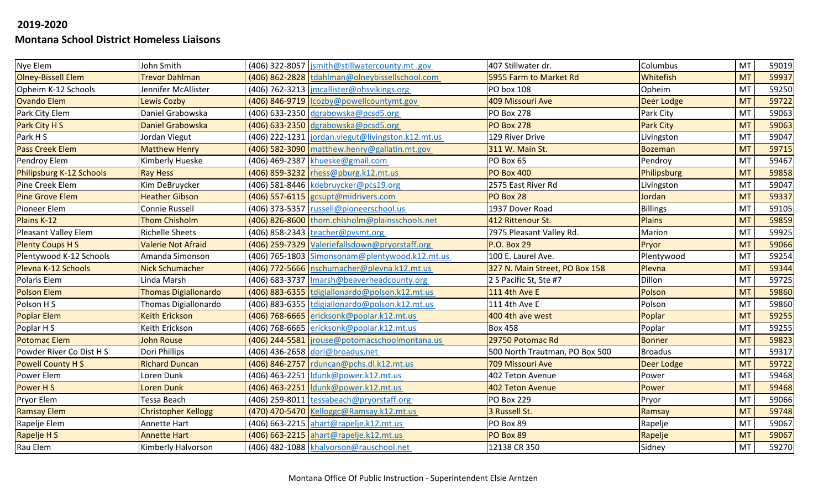| Nye Elem                  | John Smith                  | (406) 322-8057  jsmith@stillwatercounty.mt .gov   | 407 Stillwater dr.             | Columbus         | <b>MT</b> | 59019 |
|---------------------------|-----------------------------|---------------------------------------------------|--------------------------------|------------------|-----------|-------|
| <b>Olney-Bissell Elem</b> | <b>Trevor Dahlman</b>       | (406) 862-2828 tdahlman@olneybissellschool.com    | 5955 Farm to Market Rd         | Whitefish        | <b>MT</b> | 59937 |
| Opheim K-12 Schools       | Jennifer McAllister         | (406) 762-3213   jmcallister@ohsvikings.org       | PO box 108                     | Opheim           | <b>MT</b> | 59250 |
| <b>Ovando Elem</b>        | <b>Lewis Cozby</b>          | (406) 846-9719   Icozby@powellcountymt.gov        | 409 Missouri Ave               | Deer Lodge       | <b>MT</b> | 59722 |
| Park City Elem            | Daniel Grabowska            | (406) 633-2350 dgrabowska@pcsd5.org               | <b>PO Box 278</b>              | Park City        | MT        | 59063 |
| Park City H S             | <b>Daniel Grabowska</b>     | $(406)$ 633-2350 dgrabowska@pcsd5.org             | <b>PO Box 278</b>              | <b>Park City</b> | <b>MT</b> | 59063 |
| Park H S                  | Jordan Viegut               | (406) 222-1231 jordan.viegut@livingston.k12.mt.us | 129 River Drive                | Livingston       | MT        | 59047 |
| <b>Pass Creek Elem</b>    | <b>Matthew Henry</b>        | (406) 582-3090 matthew.henry@gallatin.mt.gov      | 311 W. Main St.                | <b>Bozeman</b>   | <b>MT</b> | 59715 |
| Pendroy Elem              | Kimberly Hueske             | (406) 469-2387 khueske@gmail.com                  | PO Box 65                      | Pendroy          | MT        | 59467 |
| Philipsburg K-12 Schools  | <b>Ray Hess</b>             | $(406)$ 859-3232 rhess@pburg.k12.mt.us            | <b>PO Box 400</b>              | Philipsburg      | <b>MT</b> | 59858 |
| Pine Creek Elem           | Kim DeBruycker              | (406) 581-8446 kdebruycker@pcs19.org              | 2575 East River Rd             | Livingston       | MT        | 59047 |
| <b>Pine Grove Elem</b>    | <b>Heather Gibson</b>       | (406) 557-6115 gcsupt@midrivers.com               | PO Box 28                      | Jordan           | <b>MT</b> | 59337 |
| Pioneer Elem              | Connie Russell              | (406) 373-5357 russell@pioneerschool.us           | 1937 Dover Road                | <b>Billings</b>  | MT        | 59105 |
| Plains K-12               | <b>Thom Chisholm</b>        | (406) 826-8600 thom.chisholm@plainsschools.net    | 412 Rittenour St.              | <b>Plains</b>    | <b>MT</b> | 59859 |
| Pleasant Valley Elem      | <b>Richelle Sheets</b>      | (406) 858-2343 teacher@pvsmt.org                  | 7975 Pleasant Valley Rd.       | Marion           | MT        | 59925 |
| <b>Plenty Coups HS</b>    | <b>Valerie Not Afraid</b>   | (406) 259-7329 Valeriefallsdown@pryorstaff.org    | <b>P.O. Box 29</b>             | Pryor            | <b>MT</b> | 59066 |
| Plentywood K-12 Schools   | Amanda Simonson             | (406) 765-1803 Simonsonam@plentywood.k12.mt.us    | 100 E. Laurel Ave.             | Plentywood       | MT        | 59254 |
| Plevna K-12 Schools       | <b>Nick Schumacher</b>      | (406) 772-5666 nschumacher@plevna.k12.mt.us       | 327 N. Main Street, PO Box 158 | Plevna           | <b>MT</b> | 59344 |
| Polaris Elem              | Linda Marsh                 | (406) 683-3737   Imarsh@beaverheadcounty.org      | 2 S Pacific St, Ste #7         | Dillon           | MT        | 59725 |
| <b>Polson Elem</b>        | <b>Thomas Digiallonardo</b> | (406) 883-6355 tdigiallonardo@polson.k12.mt.us    | 111 4th Ave E                  | Polson           | <b>MT</b> | 59860 |
| Polson H S                | Thomas Digiallonardo        | (406) 883-6355 tdigiallonardo@polson.k12.mt.us    | 111 4th Ave E                  | Polson           | <b>MT</b> | 59860 |
| <b>Poplar Elem</b>        | <b>Keith Erickson</b>       | (406) 768-6665 ericksonk@poplar.k12.mt.us         | 400 4th ave west               | Poplar           | <b>MT</b> | 59255 |
| Poplar H S                | Keith Erickson              | (406) 768-6665 ericksonk@poplar.k12.mt.us         | <b>Box 458</b>                 | Poplar           | MT        | 59255 |
| <b>Potomac Elem</b>       | <b>John Rouse</b>           | (406) 244-5581  jrouse@potomacschoolmontana.us    | 29750 Potomac Rd               | <b>Bonner</b>    | <b>MT</b> | 59823 |
| Powder River Co Dist H S  | Dori Phillips               | (406) 436-2658 dori@broadus.net                   | 500 North Trautman, PO Box 500 | <b>Broadus</b>   | <b>MT</b> | 59317 |
| <b>Powell County HS</b>   | <b>Richard Duncan</b>       | (406) 846-2757 rduncan@pchs.dl.k12.mt.us          | 709 Missouri Ave               | Deer Lodge       | <b>MT</b> | 59722 |
| Power Elem                | Loren Dunk                  | (406) 463-2251 dunk@power.k12.mt.us               | 402 Teton Avenue               | Power            | MT        | 59468 |
| Power H S                 | <b>Loren Dunk</b>           | (406) 463-2251 dunk@power.k12.mt.us               | <b>402 Teton Avenue</b>        | Power            | <b>MT</b> | 59468 |
| Pryor Elem                | Tessa Beach                 | (406) 259-8011 tessabeach@pryorstaff.org          | <b>PO Box 229</b>              | Pryor            | MT        | 59066 |
| <b>Ramsay Elem</b>        | <b>Christopher Kellogg</b>  | (470) 470-5470 Kelloggc@Ramsay.k12.mt.us          | 3 Russell St.                  | Ramsay           | <b>MT</b> | 59748 |
| Rapelje Elem              | Annette Hart                | (406) 663-2215 ahart@rapelje.k12.mt.us            | PO Box 89                      | Rapelje          | MT        | 59067 |
| Rapelje H S               | <b>Annette Hart</b>         | (406) 663-2215 ahart@rapelje.k12.mt.us            | PO Box 89                      | Rapelje          | <b>MT</b> | 59067 |
| Rau Elem                  | Kimberly Halvorson          | (406) 482-1088 khalvorson@rauschool.net           | 12138 CR 350                   | Sidney           | <b>MT</b> | 59270 |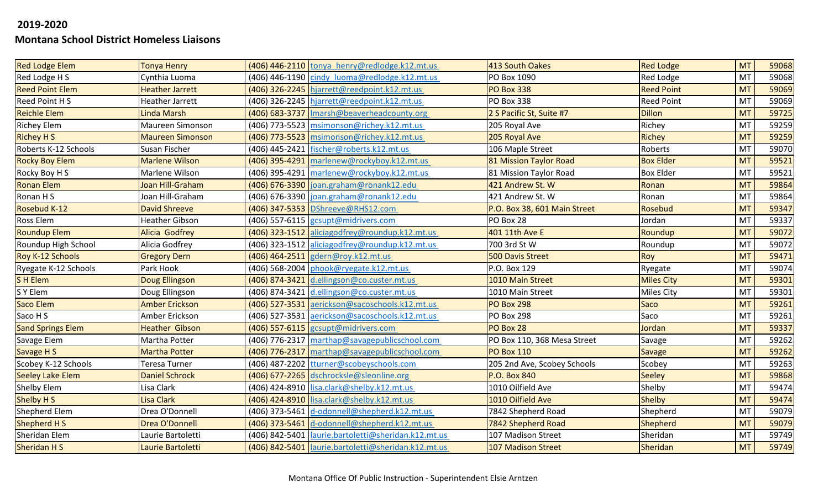| <b>Red Lodge Elem</b>    | <b>Tonya Henry</b>      | (406) 446-2110 tonya_henry@redlodge.k12.mt.us         | 413 South Oakes              | <b>Red Lodge</b>  | <b>MT</b> | 59068 |
|--------------------------|-------------------------|-------------------------------------------------------|------------------------------|-------------------|-----------|-------|
| Red Lodge H S            | Cynthia Luoma           | (406) 446-1190 cindy luoma@redlodge.k12.mt.us         | PO Box 1090                  | Red Lodge         | MT        | 59068 |
| <b>Reed Point Elem</b>   | <b>Heather Jarrett</b>  | (406) 326-2245 hjarrett@reedpoint.k12.mt.us           | <b>PO Box 338</b>            | <b>Reed Point</b> | <b>MT</b> | 59069 |
| Reed Point H S           | <b>Heather Jarrett</b>  | (406) 326-2245 hjarrett@reedpoint.k12.mt.us           | <b>PO Box 338</b>            | <b>Reed Point</b> | <b>MT</b> | 59069 |
| <b>Reichle Elem</b>      | Linda Marsh             | (406) 683-3737   Imarsh@beaverheadcounty.org          | 2 S Pacific St, Suite #7     | <b>Dillon</b>     | <b>MT</b> | 59725 |
| <b>Richey Elem</b>       | Maureen Simonson        | (406) 773-5523 msimonson@richey.k12.mt.us             | 205 Royal Ave                | Richey            | MT        | 59259 |
| <b>Richey H S</b>        | <b>Maureen Simonson</b> | (406) 773-5523 msimonson@richey.k12.mt.us             | 205 Royal Ave                | Richey            | <b>MT</b> | 59259 |
| Roberts K-12 Schools     | Susan Fischer           | (406) 445-2421 fischer@roberts.k12.mt.us              | 106 Maple Street             | Roberts           | <b>MT</b> | 59070 |
| <b>Rocky Boy Elem</b>    | <b>Marlene Wilson</b>   | (406) 395-4291 marlenew@rockyboy.k12.mt.us            | 81 Mission Taylor Road       | <b>Box Elder</b>  | <b>MT</b> | 59521 |
| Rocky Boy H S            | Marlene Wilson          | (406) 395-4291 marlenew@rockyboy.k12.mt.us            | 81 Mission Taylor Road       | <b>Box Elder</b>  | MT        | 59521 |
| <b>Ronan Elem</b>        | Joan Hill-Graham        | (406) 676-3390 joan.graham@ronank12.edu               | 421 Andrew St. W             | Ronan             | <b>MT</b> | 59864 |
| Ronan H S                | Joan Hill-Graham        | (406) 676-3390 joan.graham@ronank12.edu               | 421 Andrew St. W             | Ronan             | MT        | 59864 |
| Rosebud K-12             | <b>David Shreeve</b>    | (406) 347-5353 DShreeve@RHS12.com                     | P.O. Box 38, 601 Main Street | Rosebud           | <b>MT</b> | 59347 |
| Ross Elem                | <b>Heather Gibson</b>   | (406) 557-6115 gcsupt@midrivers.com                   | PO Box 28                    | Jordan            | <b>MT</b> | 59337 |
| <b>Roundup Elem</b>      | <b>Alicia Godfrey</b>   | (406) 323-1512 aliciagodfrey@roundup.k12.mt.us        | 401 11th Ave E               | Roundup           | <b>MT</b> | 59072 |
| Roundup High School      | Alicia Godfrey          | (406) 323-1512 aliciagodfrey@roundup.k12.mt.us        | 700 3rd St W                 | Roundup           | <b>MT</b> | 59072 |
| Roy K-12 Schools         | <b>Gregory Dern</b>     | (406) 464-2511 gdern@roy.k12.mt.us                    | <b>500 Davis Street</b>      | Roy               | <b>MT</b> | 59471 |
| Ryegate K-12 Schools     | Park Hook               | (406) 568-2004 phook@ryegate.k12.mt.us                | P.O. Box 129                 | Ryegate           | MT        | 59074 |
| SH Elem                  | <b>Doug Ellingson</b>   | (406) 874-3421 d.ellingson@co.custer.mt.us            | 1010 Main Street             | <b>Miles City</b> | <b>MT</b> | 59301 |
| S Y Elem                 | Doug Ellingson          | (406) 874-3421 d.ellingson@co.custer.mt.us            | 1010 Main Street             | Miles City        | MT        | 59301 |
| Saco Elem                | <b>Amber Erickson</b>   | (406) 527-3531 aerickson@sacoschools.k12.mt.us        | <b>PO Box 298</b>            | <b>Saco</b>       | <b>MT</b> | 59261 |
| Saco H S                 | Amber Erickson          | (406) 527-3531 aerickson@sacoschools.k12.mt.us        | PO Box 298                   | Saco              | MT        | 59261 |
| <b>Sand Springs Elem</b> | <b>Heather Gibson</b>   | (406) 557-6115 gcsupt@midrivers.com                   | PO Box 28                    | Jordan            | <b>MT</b> | 59337 |
| Savage Elem              | Martha Potter           | (406) 776-2317 marthap@savagepublicschool.com         | PO Box 110, 368 Mesa Street  | Savage            | <b>MT</b> | 59262 |
| Savage H S               | <b>Martha Potter</b>    | (406) 776-2317 marthap@savagepublicschool.com         | <b>PO Box 110</b>            | <b>Savage</b>     | <b>MT</b> | 59262 |
| Scobey K-12 Schools      | Teresa Turner           | (406) 487-2202 tturner@scobeyschools.com              | 205 2nd Ave, Scobey Schools  | Scobey            | MT        | 59263 |
| <b>Seeley Lake Elem</b>  | <b>Daniel Schrock</b>   | (406) 677-2265 dschrocksle@sleonline.org              | <b>P.O. Box 840</b>          | <b>Seeley</b>     | <b>MT</b> | 59868 |
| Shelby Elem              | Lisa Clark              | (406) 424-8910 lisa.clark@shelby.k12.mt.us            | 1010 Oilfield Ave            | Shelby            | MT        | 59474 |
| Shelby H S               | Lisa Clark              | (406) 424-8910 lisa.clark@shelby.k12.mt.us            | 1010 Oilfield Ave            | <b>Shelby</b>     | <b>MT</b> | 59474 |
| Shepherd Elem            | Drea O'Donnell          | (406) 373-5461 d-odonnell@shepherd.k12.mt.us          | 7842 Shepherd Road           | Shepherd          | MT        | 59079 |
| Shepherd H S             | Drea O'Donnell          | (406) 373-5461 d-odonnell@shepherd.k12.mt.us          | 7842 Shepherd Road           | Shepherd          | <b>MT</b> | 59079 |
| Sheridan Elem            | Laurie Bartoletti       | (406) 842-5401   laurie.bartoletti@sheridan.k12.mt.us | 107 Madison Street           | Sheridan          | MT        | 59749 |
| Sheridan H S             | Laurie Bartoletti       | (406) 842-5401   laurie.bartoletti@sheridan.k12.mt.us | <b>107 Madison Street</b>    | Sheridan          | <b>MT</b> | 59749 |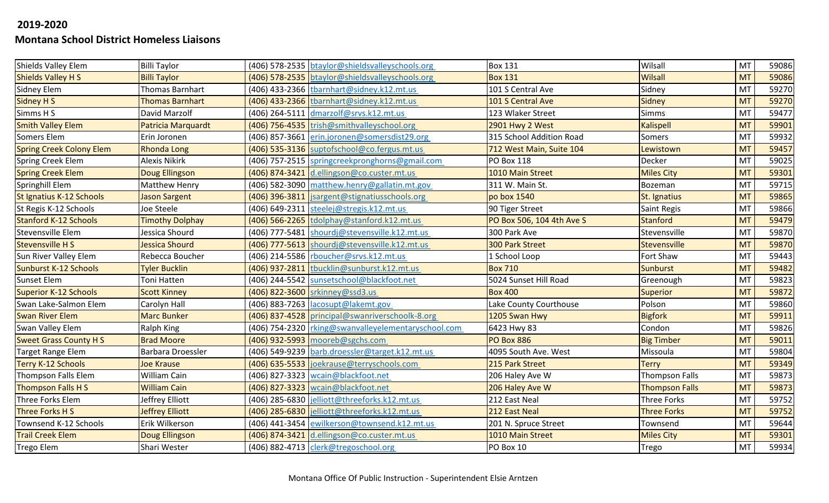| Shields Valley Elem             | <b>Billi Taylor</b>    | (406) 578-2535 btaylor@shieldsvalleyschools.org     | <b>Box 131</b>            | Wilsall               | MT        | 59086 |
|---------------------------------|------------------------|-----------------------------------------------------|---------------------------|-----------------------|-----------|-------|
| <b>Shields Valley H S</b>       | <b>Billi Taylor</b>    | (406) 578-2535 btaylor@shieldsvalleyschools.org     | <b>Box 131</b>            | <b>Wilsall</b>        | <b>MT</b> | 59086 |
| Sidney Elem                     | Thomas Barnhart        | (406) 433-2366 tbarnhart@sidney.k12.mt.us           | 101 S Central Ave         | Sidney                | <b>MT</b> | 59270 |
| <b>Sidney H S</b>               | <b>Thomas Barnhart</b> | (406) 433-2366 tbarnhart@sidney.k12.mt.us           | 101 S Central Ave         | <b>Sidney</b>         | <b>MT</b> | 59270 |
| Simms H S                       | David Marzolf          | (406) 264-5111 dmarzolf@srvs.k12.mt.us              | 123 Wlaker Street         | <b>Simms</b>          | MT        | 59477 |
| <b>Smith Valley Elem</b>        | Patricia Marquardt     | (406) 756-4535 trish@smithvalleyschool.org          | 2901 Hwy 2 West           | <b>Kalispell</b>      | <b>MT</b> | 59901 |
| Somers Elem                     | Erin Joronen           | (406) 857-3661 erin.joronen@somersdist29.org        | 315 School Addition Road  | Somers                | MT        | 59932 |
| <b>Spring Creek Colony Elem</b> | <b>Rhonda Long</b>     | (406) 535-3136 suptofschool@co.fergus.mt.us         | 712 West Main, Suite 104  | Lewistown             | <b>MT</b> | 59457 |
| Spring Creek Elem               | Alexis Nikirk          | (406) 757-2515 springcreekpronghorns@gmail.com      | <b>PO Box 118</b>         | Decker                | MT        | 59025 |
| <b>Spring Creek Elem</b>        | Doug Ellingson         | (406) 874-3421 d.ellingson@co.custer.mt.us          | 1010 Main Street          | <b>Miles City</b>     | <b>MT</b> | 59301 |
| Springhill Elem                 | Matthew Henry          | (406) 582-3090 matthew.henry@gallatin.mt.gov        | 311 W. Main St.           | Bozeman               | MT        | 59715 |
| St Ignatius K-12 Schools        | <b>Jason Sargent</b>   | (406) 396-3811   jsargent@stignatiusschools.org     | po box 1540               | St. Ignatius          | <b>MT</b> | 59865 |
| St Regis K-12 Schools           | Joe Steele             | (406) 649-2311 steelej@stregis.k12.mt.us            | 90 Tiger Street           | Saint Regis           | MT        | 59866 |
| <b>Stanford K-12 Schools</b>    | <b>Timothy Dolphay</b> | (406) 566-2265 tdolphay@stanford.k12.mt.us          | PO Box 506, 104 4th Ave S | <b>Stanford</b>       | <b>MT</b> | 59479 |
| Stevensville Elem               | Jessica Shourd         | (406) 777-5481 shourdj@stevensville.k12.mt.us       | 300 Park Ave              | Stevensville          | MT        | 59870 |
| <b>Stevensville HS</b>          | Jessica Shourd         | (406) 777-5613 shourdj@stevensville.k12.mt.us       | <b>300 Park Street</b>    | Stevensville          | <b>MT</b> | 59870 |
| Sun River Valley Elem           | Rebecca Boucher        | (406) 214-5586 rboucher@srvs.k12.mt.us              | 1 School Loop             | Fort Shaw             | <b>MT</b> | 59443 |
| <b>Sunburst K-12 Schools</b>    | <b>Tyler Bucklin</b>   | (406) 937-2811 tbucklin@sunburst.k12.mt.us          | <b>Box 710</b>            | <b>Sunburst</b>       | <b>MT</b> | 59482 |
| <b>Sunset Elem</b>              | Toni Hatten            | (406) 244-5542 sunsetschool@blackfoot.net           | 5024 Sunset Hill Road     | Greenough             | MT        | 59823 |
| <b>Superior K-12 Schools</b>    | <b>Scott Kinney</b>    | (406) 822-3600 srkinney@ssd3.us                     | <b>Box 400</b>            | Superior              | <b>MT</b> | 59872 |
| Swan Lake-Salmon Elem           | Carolyn Hall           | (406) 883-7263 lacosupt@lakemt.gov                  | Lake County Courthouse    | Polson                | MT        | 59860 |
| <b>Swan River Elem</b>          | <b>Marc Bunker</b>     | (406) 837-4528 principal@swanriverschoolk-8.org     | 1205 Swan Hwy             | <b>Bigfork</b>        | <b>MT</b> | 59911 |
| Swan Valley Elem                | Ralph King             | (406) 754-2320 rking@swanvalleyelementaryschool.com | 6423 Hwy 83               | Condon                | MT        | 59826 |
| <b>Sweet Grass County HS</b>    | <b>Brad Moore</b>      | (406) 932-5993 mooreb@sgchs.com                     | <b>PO Box 886</b>         | <b>Big Timber</b>     | <b>MT</b> | 59011 |
| Target Range Elem               | Barbara Droessler      | (406) 549-9239 barb.droessler@target.k12.mt.us      | 4095 South Ave. West      | Missoula              | MT        | 59804 |
| <b>Terry K-12 Schools</b>       | <b>Joe Krause</b>      | (406) 635-5533 joekrause@terryschools.com           | 215 Park Street           | <b>Terry</b>          | <b>MT</b> | 59349 |
| Thompson Falls Elem             | William Cain           | (406) 827-3323 wcain@blackfoot.net                  | 206 Haley Ave W           | <b>Thompson Falls</b> | MT        | 59873 |
| <b>Thompson Falls H S</b>       | <b>William Cain</b>    | (406) 827-3323   wcain@blackfoot.net                | 206 Haley Ave W           | <b>Thompson Falls</b> | <b>MT</b> | 59873 |
| Three Forks Elem                | Jeffrey Elliott        | (406) 285-6830 jelliott@threeforks.k12.mt.us        | 212 East Neal             | <b>Three Forks</b>    | MT        | 59752 |
| Three Forks H S                 | <b>Jeffrey Elliott</b> | (406) 285-6830 jelliott@threeforks.k12.mt.us        | 212 East Neal             | <b>Three Forks</b>    | <b>MT</b> | 59752 |
| Townsend K-12 Schools           | Erik Wilkerson         | (406) 441-3454 ewilkerson@townsend.k12.mt.us        | 201 N. Spruce Street      | Townsend              | MT        | 59644 |
| <b>Trail Creek Elem</b>         | <b>Doug Ellingson</b>  | (406) 874-3421 d.ellingson@co.custer.mt.us          | 1010 Main Street          | <b>Miles City</b>     | <b>MT</b> | 59301 |
| <b>Trego Elem</b>               | Shari Wester           | (406) 882-4713 clerk@tregoschool.org                | PO Box 10                 | Trego                 | <b>MT</b> | 59934 |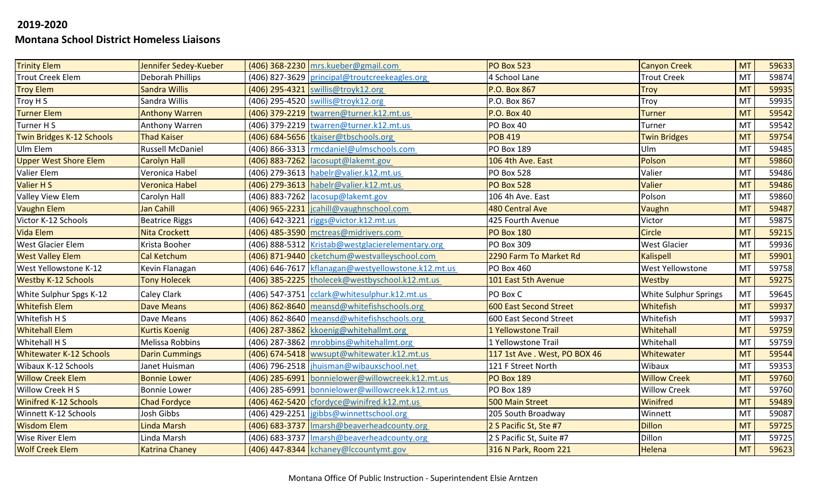| <b>Trinity Elem</b>            | Jennifer Sedey-Kueber   | (406) 368-2230 mrs.kueber@gmail.com                | <b>PO Box 523</b>            | <b>Canyon Creek</b>   | <b>MT</b> | 59633 |
|--------------------------------|-------------------------|----------------------------------------------------|------------------------------|-----------------------|-----------|-------|
| <b>Trout Creek Elem</b>        | Deborah Phillips        | (406) 827-3629 principal@troutcreekeagles.org      | 4 School Lane                | <b>Trout Creek</b>    | MT        | 59874 |
| <b>Troy Elem</b>               | <b>Sandra Willis</b>    | (406) 295-4321 swillis@troyk12.org                 | P.O. Box 867                 | <b>Troy</b>           | <b>MT</b> | 59935 |
| Troy H S                       | Sandra Willis           | (406) 295-4520 swillis@troyk12.org                 | P.O. Box 867                 | <b>Troy</b>           | MT        | 59935 |
| <b>Turner Elem</b>             | <b>Anthony Warren</b>   | (406) 379-2219  twarren@turner.k12.mt.us           | <b>P.O. Box 40</b>           | <b>Turner</b>         | <b>MT</b> | 59542 |
| Turner H S                     | Anthony Warren          | (406) 379-2219 twarren@turner.k12.mt.us            | PO Box 40                    | Turner                | MT        | 59542 |
| Twin Bridges K-12 Schools      | <b>Thad Kaiser</b>      | (406) 684-5656 tkaiser@tbschools.org               | <b>POB 419</b>               | <b>Twin Bridges</b>   | <b>MT</b> | 59754 |
| Ulm Elem                       | <b>Russell McDaniel</b> | (406) 866-3313   rmcdaniel@ulmschools.com          | <b>PO Box 189</b>            | Ulm                   | MT        | 59485 |
| <b>Upper West Shore Elem</b>   | Carolyn Hall            | $(406)$ 883-7262   lacosupt@lakemt.gov             | 106 4th Ave. East            | Polson                | <b>MT</b> | 59860 |
| Valier Elem                    | Veronica Habel          | (406) 279-3613 habelr@valier.k12.mt.us             | <b>PO Box 528</b>            | Valier                | MT        | 59486 |
| Valier H S                     | Veronica Habel          | (406) 279-3613 habelr@valier.k12.mt.us             | <b>PO Box 528</b>            | Valier                | <b>MT</b> | 59486 |
| Valley View Elem               | Carolyn Hall            | (406) 883-7262 acosup@lakemt.gov                   | 106 4h Ave. East             | Polson                | MT        | 59860 |
| <b>Vaughn Elem</b>             | Jan Cahill              | (406) 965-2231  jcahill@vaughnschool.com           | <b>480 Central Ave</b>       | Vaughn                | <b>MT</b> | 59487 |
| Victor K-12 Schools            | <b>Beatrice Riggs</b>   | (406) 642-3221 riggs@victor.k12.mt.us              | 425 Fourth Avenue            | Victor                | <b>MT</b> | 59875 |
| Vida Elem                      | <b>Nita Crockett</b>    | (406) 485-3590   mctreas@midrivers.com             | <b>PO Box 180</b>            | <b>Circle</b>         | <b>MT</b> | 59215 |
| <b>West Glacier Elem</b>       | Krista Booher           | (406) 888-5312 Kristab@westglacierelementary.org   | <b>PO Box 309</b>            | <b>West Glacier</b>   | MT        | 59936 |
| <b>West Valley Elem</b>        | Cal Ketchum             | (406) 871-9440 cketchum@westvalleyschool.com       | 2290 Farm To Market Rd       | <b>Kalispell</b>      | <b>MT</b> | 59901 |
| West Yellowstone K-12          | Kevin Flanagan          | (406) 646-7617 kflanagan@westyellowstone.k12.mt.us | <b>PO Box 460</b>            | West Yellowstone      | <b>MT</b> | 59758 |
| <b>Westby K-12 Schools</b>     | <b>Tony Holecek</b>     | (406) 385-2225 tholecek@westbyschool.k12.mt.us     | 101 East 5th Avenue          | Westby                | <b>MT</b> | 59275 |
| White Sulphur Spgs K-12        | Caley Clark             | (406) 547-3751 cclark@whitesulphur.k12.mt.us       | PO Box C                     | White Sulphur Springs | MT        | 59645 |
| <b>Whitefish Elem</b>          | <b>Dave Means</b>       | (406) 862-8640 meansd@whitefishschools.org         | 600 East Second Street       | Whitefish             | <b>MT</b> | 59937 |
| Whitefish H S                  | Dave Means              | (406) 862-8640 meansd@whitefishschools.org         | 600 East Second Street       | Whitefish             | MT        | 59937 |
| <b>Whitehall Elem</b>          | <b>Kurtis Koenig</b>    | (406) 287-3862 kkoenig@whitehallmt.org             | 1 Yellowstone Trail          | Whitehall             | <b>MT</b> | 59759 |
| Whitehall H S                  | Melissa Robbins         | (406) 287-3862 mrobbins@whitehallmt.org            | 1 Yellowstone Trail          | Whitehall             | MT        | 59759 |
| <b>Whitewater K-12 Schools</b> | <b>Darin Cummings</b>   | (406) 674-5418 wwsupt@whitewater.k12.mt.us         | 117 1st Ave. West, PO BOX 46 | Whitewater            | <b>MT</b> | 59544 |
| Wibaux K-12 Schools            | Janet Huisman           | (406) 796-2518  jhuisman@wibauxschool.net          | 121 F Street North           | Wibaux                | MT        | 59353 |
| <b>Willow Creek Elem</b>       | <b>Bonnie Lower</b>     | (406) 285-6991 bonnielower@willowcreek.k12.mt.us   | <b>PO Box 189</b>            | <b>Willow Creek</b>   | <b>MT</b> | 59760 |
| Willow Creek H S               | <b>Bonnie Lower</b>     | (406) 285-6991 bonnielower@willowcreek.k12.mt.us   | PO Box 189                   | <b>Willow Creek</b>   | MT        | 59760 |
| <b>Winifred K-12 Schools</b>   | <b>Chad Fordyce</b>     | (406) 462-5420 cfordyce@winifred.k12.mt.us         | <b>500 Main Street</b>       | Winifred              | <b>MT</b> | 59489 |
| Winnett K-12 Schools           | Josh Gibbs              | (406) 429-2251 jgibbs@winnettschool.org            | 205 South Broadway           | Winnett               | MT        | 59087 |
| <b>Wisdom Elem</b>             | Linda Marsh             | (406) 683-3737   Imarsh@beaverheadcounty.org       | 2 S Pacific St, Ste #7       | <b>Dillon</b>         | <b>MT</b> | 59725 |
| Wise River Elem                | Linda Marsh             | (406) 683-3737   Imarsh@beaverheadcounty.org       | 2 S Pacific St, Suite #7     | Dillon                | MT        | 59725 |
| <b>Wolf Creek Elem</b>         | <b>Katrina Chaney</b>   | (406) 447-8344 kchaney@lccountymt.gov              | 316 N Park, Room 221         | Helena                | <b>MT</b> | 59623 |